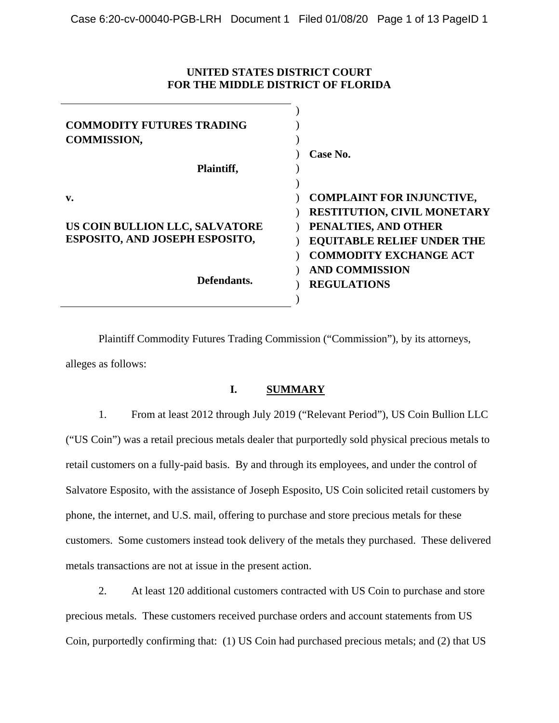## **UNITED STATES DISTRICT COURT FOR THE MIDDLE DISTRICT OF FLORIDA**

| <b>COMMODITY FUTURES TRADING</b><br><b>COMMISSION,</b>                             |                                                                                                                                     |
|------------------------------------------------------------------------------------|-------------------------------------------------------------------------------------------------------------------------------------|
| Plaintiff,                                                                         | Case No.                                                                                                                            |
| $\mathbf{v}$ .<br>US COIN BULLION LLC, SALVATORE<br>ESPOSITO, AND JOSEPH ESPOSITO, | <b>COMPLAINT FOR INJUNCTIVE,</b><br><b>RESTITUTION, CIVIL MONETARY</b><br>PENALTIES, AND OTHER<br><b>EQUITABLE RELIEF UNDER THE</b> |
| Defendants.                                                                        | <b>COMMODITY EXCHANGE ACT</b><br><b>AND COMMISSION</b><br><b>REGULATIONS</b>                                                        |

Plaintiff Commodity Futures Trading Commission ("Commission"), by its attorneys, alleges as follows:

## **I. SUMMARY**

1. From at least 2012 through July 2019 ("Relevant Period"), US Coin Bullion LLC ("US Coin") was a retail precious metals dealer that purportedly sold physical precious metals to retail customers on a fully-paid basis. By and through its employees, and under the control of Salvatore Esposito, with the assistance of Joseph Esposito, US Coin solicited retail customers by phone, the internet, and U.S. mail, offering to purchase and store precious metals for these customers. Some customers instead took delivery of the metals they purchased. These delivered metals transactions are not at issue in the present action.

2. At least 120 additional customers contracted with US Coin to purchase and store precious metals. These customers received purchase orders and account statements from US Coin, purportedly confirming that: (1) US Coin had purchased precious metals; and (2) that US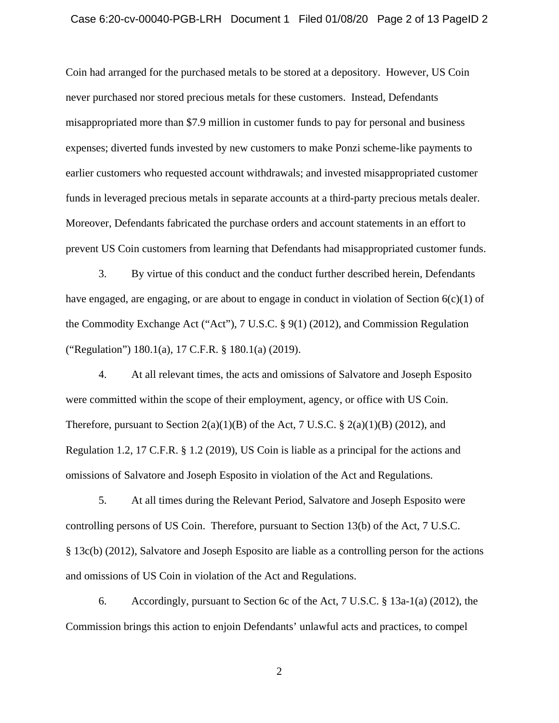Coin had arranged for the purchased metals to be stored at a depository. However, US Coin never purchased nor stored precious metals for these customers. Instead, Defendants misappropriated more than \$7.9 million in customer funds to pay for personal and business expenses; diverted funds invested by new customers to make Ponzi scheme-like payments to earlier customers who requested account withdrawals; and invested misappropriated customer funds in leveraged precious metals in separate accounts at a third-party precious metals dealer. Moreover, Defendants fabricated the purchase orders and account statements in an effort to prevent US Coin customers from learning that Defendants had misappropriated customer funds.

3. By virtue of this conduct and the conduct further described herein, Defendants have engaged, are engaging, or are about to engage in conduct in violation of Section  $6(c)(1)$  of the Commodity Exchange Act ("Act"), 7 U.S.C. § 9(1) (2012), and Commission Regulation ("Regulation") 180.1(a), 17 C.F.R. § 180.1(a) (2019).

4. At all relevant times, the acts and omissions of Salvatore and Joseph Esposito were committed within the scope of their employment, agency, or office with US Coin. Therefore, pursuant to Section  $2(a)(1)(B)$  of the Act, 7 U.S.C. §  $2(a)(1)(B)$  (2012), and Regulation 1.2, 17 C.F.R. § 1.2 (2019), US Coin is liable as a principal for the actions and omissions of Salvatore and Joseph Esposito in violation of the Act and Regulations.

5. At all times during the Relevant Period, Salvatore and Joseph Esposito were controlling persons of US Coin. Therefore, pursuant to Section 13(b) of the Act, 7 U.S.C. § 13c(b) (2012), Salvatore and Joseph Esposito are liable as a controlling person for the actions and omissions of US Coin in violation of the Act and Regulations.

6. Accordingly, pursuant to Section 6c of the Act, 7 U.S.C. § 13a-1(a) (2012), the Commission brings this action to enjoin Defendants' unlawful acts and practices, to compel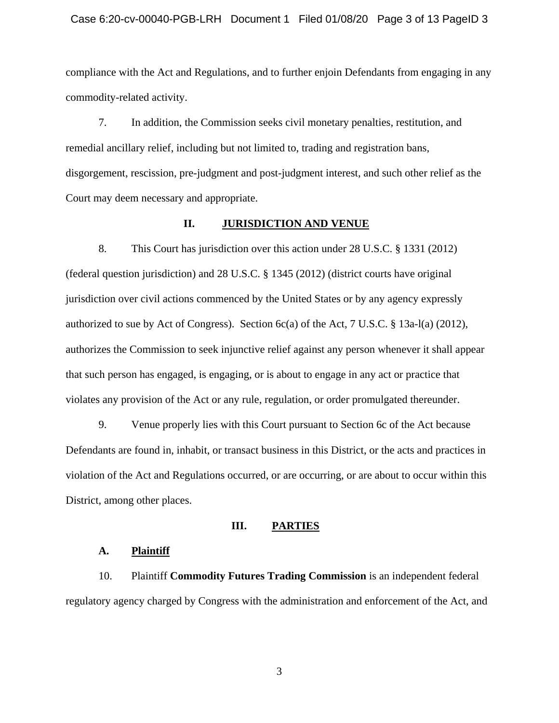#### Case 6:20-cv-00040-PGB-LRH Document 1 Filed 01/08/20 Page 3 of 13 PageID 3

compliance with the Act and Regulations, and to further enjoin Defendants from engaging in any commodity-related activity.

7. In addition, the Commission seeks civil monetary penalties, restitution, and remedial ancillary relief, including but not limited to, trading and registration bans, disgorgement, rescission, pre-judgment and post-judgment interest, and such other relief as the Court may deem necessary and appropriate.

#### **II. JURISDICTION AND VENUE**

8. This Court has jurisdiction over this action under 28 U.S.C. § 1331 (2012) (federal question jurisdiction) and 28 U.S.C. § 1345 (2012) (district courts have original jurisdiction over civil actions commenced by the United States or by any agency expressly authorized to sue by Act of Congress). Section  $6c(a)$  of the Act, 7 U.S.C. § 13a-l(a) (2012), authorizes the Commission to seek injunctive relief against any person whenever it shall appear that such person has engaged, is engaging, or is about to engage in any act or practice that violates any provision of the Act or any rule, regulation, or order promulgated thereunder.

9. Venue properly lies with this Court pursuant to Section 6c of the Act because Defendants are found in, inhabit, or transact business in this District, or the acts and practices in violation of the Act and Regulations occurred, or are occurring, or are about to occur within this District, among other places.

#### **III. PARTIES**

#### **A. Plaintiff**

10. Plaintiff **Commodity Futures Trading Commission** is an independent federal regulatory agency charged by Congress with the administration and enforcement of the Act, and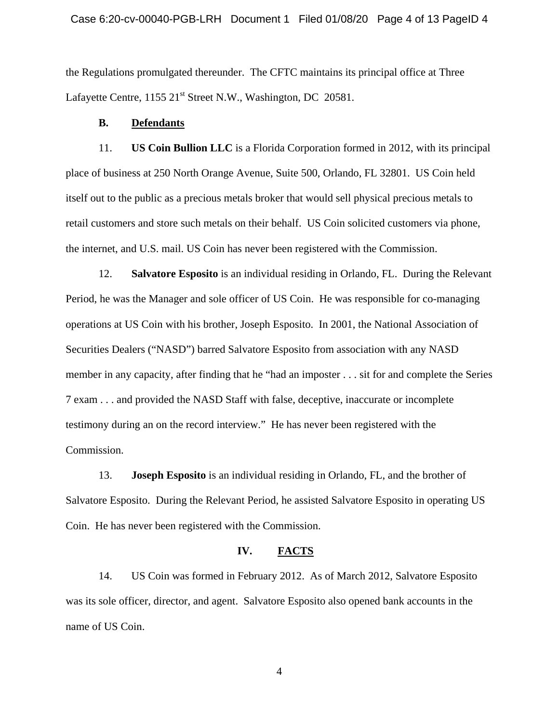the Regulations promulgated thereunder. The CFTC maintains its principal office at Three Lafayette Centre, 1155 21<sup>st</sup> Street N.W., Washington, DC 20581.

### **B. Defendants**

11. **US Coin Bullion LLC** is a Florida Corporation formed in 2012, with its principal place of business at 250 North Orange Avenue, Suite 500, Orlando, FL 32801. US Coin held itself out to the public as a precious metals broker that would sell physical precious metals to retail customers and store such metals on their behalf. US Coin solicited customers via phone, the internet, and U.S. mail. US Coin has never been registered with the Commission.

12. **Salvatore Esposito** is an individual residing in Orlando, FL. During the Relevant Period, he was the Manager and sole officer of US Coin. He was responsible for co-managing operations at US Coin with his brother, Joseph Esposito. In 2001, the National Association of Securities Dealers ("NASD") barred Salvatore Esposito from association with any NASD member in any capacity, after finding that he "had an imposter . . . sit for and complete the Series 7 exam . . . and provided the NASD Staff with false, deceptive, inaccurate or incomplete testimony during an on the record interview." He has never been registered with the Commission.

13. **Joseph Esposito** is an individual residing in Orlando, FL, and the brother of Salvatore Esposito. During the Relevant Period, he assisted Salvatore Esposito in operating US Coin. He has never been registered with the Commission.

### **IV. FACTS**

14. US Coin was formed in February 2012. As of March 2012, Salvatore Esposito was its sole officer, director, and agent. Salvatore Esposito also opened bank accounts in the name of US Coin.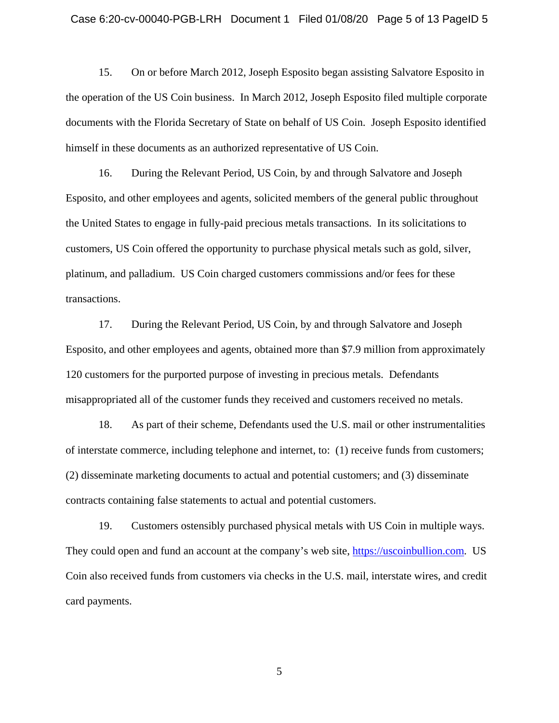15. On or before March 2012, Joseph Esposito began assisting Salvatore Esposito in the operation of the US Coin business. In March 2012, Joseph Esposito filed multiple corporate documents with the Florida Secretary of State on behalf of US Coin. Joseph Esposito identified himself in these documents as an authorized representative of US Coin.

16. During the Relevant Period, US Coin, by and through Salvatore and Joseph Esposito, and other employees and agents, solicited members of the general public throughout the United States to engage in fully-paid precious metals transactions. In its solicitations to customers, US Coin offered the opportunity to purchase physical metals such as gold, silver, platinum, and palladium. US Coin charged customers commissions and/or fees for these transactions.

17. During the Relevant Period, US Coin, by and through Salvatore and Joseph Esposito, and other employees and agents, obtained more than \$7.9 million from approximately 120 customers for the purported purpose of investing in precious metals. Defendants misappropriated all of the customer funds they received and customers received no metals.

18. As part of their scheme, Defendants used the U.S. mail or other instrumentalities of interstate commerce, including telephone and internet, to: (1) receive funds from customers; (2) disseminate marketing documents to actual and potential customers; and (3) disseminate contracts containing false statements to actual and potential customers.

19. Customers ostensibly purchased physical metals with US Coin in multiple ways. They could open and fund an account at the company's web site, https://uscoinbullion.com. US Coin also received funds from customers via checks in the U.S. mail, interstate wires, and credit card payments.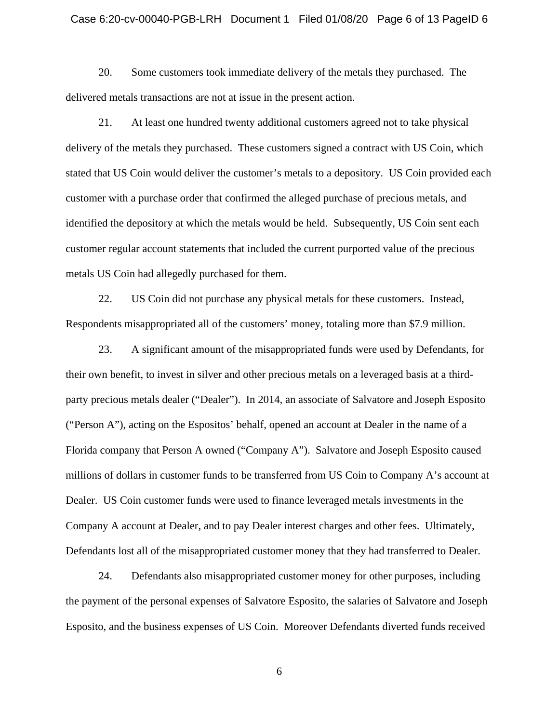20. Some customers took immediate delivery of the metals they purchased. The delivered metals transactions are not at issue in the present action.

21. At least one hundred twenty additional customers agreed not to take physical delivery of the metals they purchased. These customers signed a contract with US Coin, which stated that US Coin would deliver the customer's metals to a depository. US Coin provided each customer with a purchase order that confirmed the alleged purchase of precious metals, and identified the depository at which the metals would be held. Subsequently, US Coin sent each customer regular account statements that included the current purported value of the precious metals US Coin had allegedly purchased for them.

22. US Coin did not purchase any physical metals for these customers. Instead, Respondents misappropriated all of the customers' money, totaling more than \$7.9 million.

23. A significant amount of the misappropriated funds were used by Defendants, for their own benefit, to invest in silver and other precious metals on a leveraged basis at a thirdparty precious metals dealer ("Dealer"). In 2014, an associate of Salvatore and Joseph Esposito ("Person A"), acting on the Espositos' behalf, opened an account at Dealer in the name of a Florida company that Person A owned ("Company A"). Salvatore and Joseph Esposito caused millions of dollars in customer funds to be transferred from US Coin to Company A's account at Dealer. US Coin customer funds were used to finance leveraged metals investments in the Company A account at Dealer, and to pay Dealer interest charges and other fees. Ultimately, Defendants lost all of the misappropriated customer money that they had transferred to Dealer.

24. Defendants also misappropriated customer money for other purposes, including the payment of the personal expenses of Salvatore Esposito, the salaries of Salvatore and Joseph Esposito, and the business expenses of US Coin. Moreover Defendants diverted funds received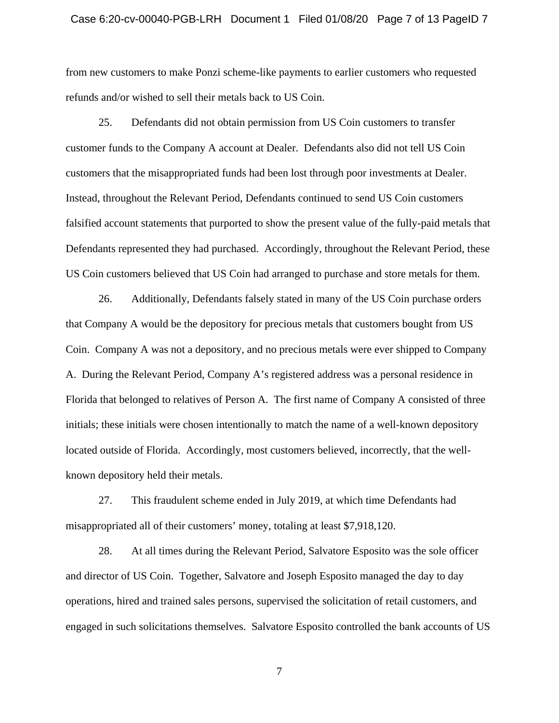from new customers to make Ponzi scheme-like payments to earlier customers who requested refunds and/or wished to sell their metals back to US Coin.

25. Defendants did not obtain permission from US Coin customers to transfer customer funds to the Company A account at Dealer. Defendants also did not tell US Coin customers that the misappropriated funds had been lost through poor investments at Dealer. Instead, throughout the Relevant Period, Defendants continued to send US Coin customers falsified account statements that purported to show the present value of the fully-paid metals that Defendants represented they had purchased. Accordingly, throughout the Relevant Period, these US Coin customers believed that US Coin had arranged to purchase and store metals for them.

26. Additionally, Defendants falsely stated in many of the US Coin purchase orders that Company A would be the depository for precious metals that customers bought from US Coin. Company A was not a depository, and no precious metals were ever shipped to Company A. During the Relevant Period, Company A's registered address was a personal residence in Florida that belonged to relatives of Person A. The first name of Company A consisted of three initials; these initials were chosen intentionally to match the name of a well-known depository located outside of Florida. Accordingly, most customers believed, incorrectly, that the wellknown depository held their metals.

27. This fraudulent scheme ended in July 2019, at which time Defendants had misappropriated all of their customers' money, totaling at least \$7,918,120.

28. At all times during the Relevant Period, Salvatore Esposito was the sole officer and director of US Coin. Together, Salvatore and Joseph Esposito managed the day to day operations, hired and trained sales persons, supervised the solicitation of retail customers, and engaged in such solicitations themselves. Salvatore Esposito controlled the bank accounts of US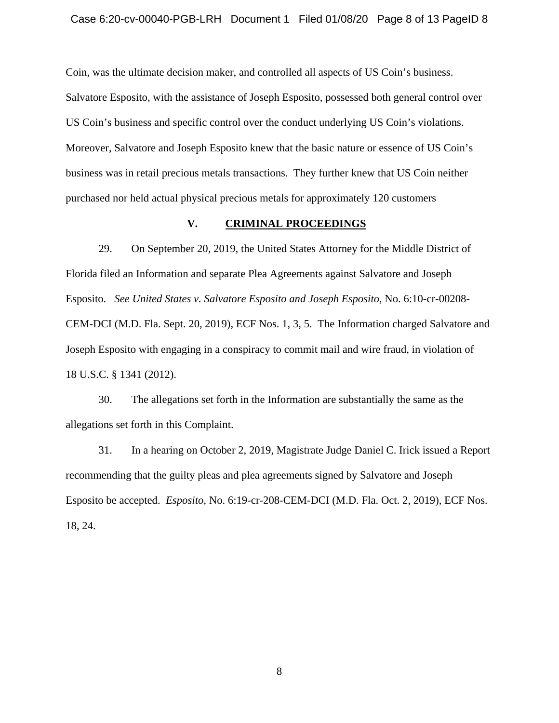Coin, was the ultimate decision maker, and controlled all aspects of US Coin's business.

Salvatore Esposito, with the assistance of Joseph Esposito, possessed both general control over US Coin's business and specific control over the conduct underlying US Coin's violations. Moreover, Salvatore and Joseph Esposito knew that the basic nature or essence of US Coin's business was in retail precious metals transactions. They further knew that US Coin neither purchased nor held actual physical precious metals for approximately 120 customers

### **V. CRIMINAL PROCEEDINGS**

29. On September 20, 2019, the United States Attorney for the Middle District of Florida filed an Information and separate Plea Agreements against Salvatore and Joseph Esposito. *See United States v. Salvatore Esposito and Joseph Esposito,* No. 6:10-cr-00208- CEM-DCI (M.D. Fla. Sept. 20, 2019), ECF Nos. 1, 3, 5. The Information charged Salvatore and Joseph Esposito with engaging in a conspiracy to commit mail and wire fraud, in violation of 18 U.S.C. § 1341 (2012).

30. The allegations set forth in the Information are substantially the same as the allegations set forth in this Complaint.

31. In a hearing on October 2, 2019, Magistrate Judge Daniel C. Irick issued a Report recommending that the guilty pleas and plea agreements signed by Salvatore and Joseph Esposito be accepted. *Esposito,* No. 6:19-cr-208-CEM-DCI (M.D. Fla. Oct. 2, 2019), ECF Nos. 18, 24.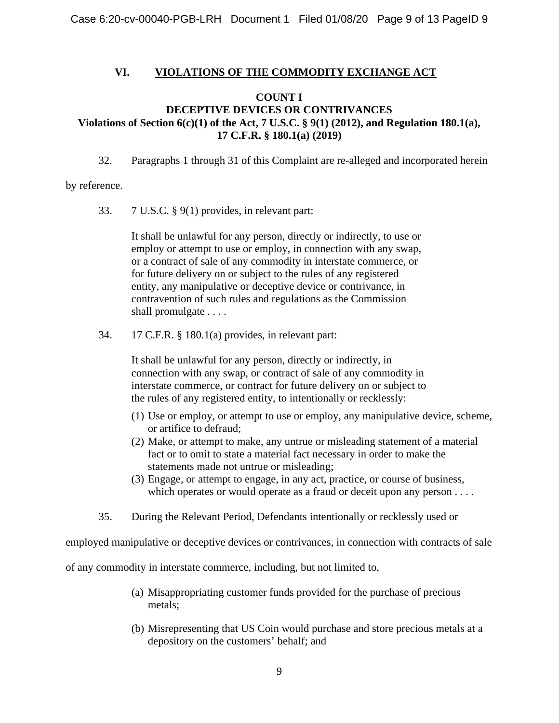### **VI. VIOLATIONS OF THE COMMODITY EXCHANGE ACT**

## **COUNT I**

# **Violations of Section 6(c)(1) of the Act, 7 U.S.C. § 9(1) (2012), and Regulation 180.1(a), 17 C.F.R. § 180.1(a) (2019) DECEPTIVE DEVICES OR CONTRIVANCES**

32. Paragraphs 1 through 31 of this Complaint are re-alleged and incorporated herein

### by reference.

33. 7 U.S.C. § 9(1) provides, in relevant part:

It shall be unlawful for any person, directly or indirectly, to use or employ or attempt to use or employ, in connection with any swap, or a contract of sale of any commodity in interstate commerce, or for future delivery on or subject to the rules of any registered entity, any manipulative or deceptive device or contrivance, in contravention of such rules and regulations as the Commission shall promulgate . . . .

34. 17 C.F.R. § 180.1(a) provides, in relevant part:

It shall be unlawful for any person, directly or indirectly, in connection with any swap, or contract of sale of any commodity in interstate commerce, or contract for future delivery on or subject to the rules of any registered entity, to intentionally or recklessly:

- (1) Use or employ, or attempt to use or employ, any manipulative device, scheme, or artifice to defraud;
- (2) Make, or attempt to make, any untrue or misleading statement of a material fact or to omit to state a material fact necessary in order to make the statements made not untrue or misleading;
- (3) Engage, or attempt to engage, in any act, practice, or course of business, which operates or would operate as a fraud or deceit upon any person . . . .
- 35. During the Relevant Period, Defendants intentionally or recklessly used or

employed manipulative or deceptive devices or contrivances, in connection with contracts of sale

of any commodity in interstate commerce, including, but not limited to,

- (a) Misappropriating customer funds provided for the purchase of precious metals;
- (b) Misrepresenting that US Coin would purchase and store precious metals at a depository on the customers' behalf; and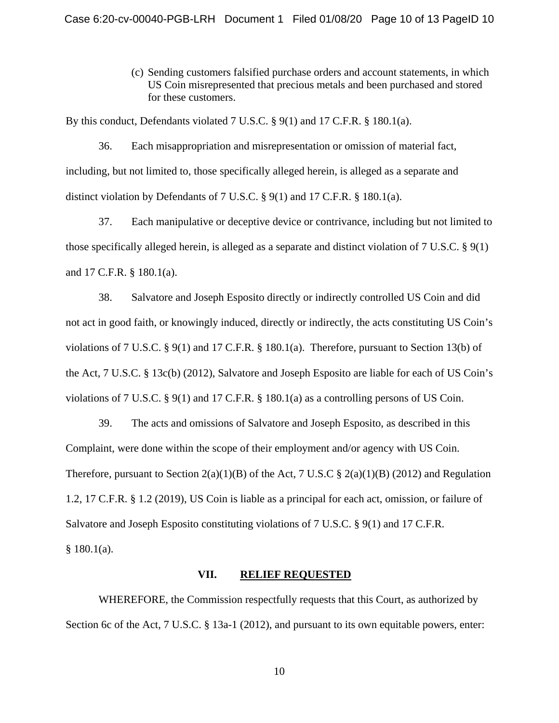(c) Sending customers falsified purchase orders and account statements, in which US Coin misrepresented that precious metals and been purchased and stored for these customers.

By this conduct, Defendants violated 7 U.S.C. § 9(1) and 17 C.F.R. § 180.1(a).

36. Each misappropriation and misrepresentation or omission of material fact, including, but not limited to, those specifically alleged herein, is alleged as a separate and distinct violation by Defendants of 7 U.S.C. § 9(1) and 17 C.F.R. § 180.1(a).

37. Each manipulative or deceptive device or contrivance, including but not limited to those specifically alleged herein, is alleged as a separate and distinct violation of 7 U.S.C. § 9(1) and 17 C.F.R. § 180.1(a).

38. Salvatore and Joseph Esposito directly or indirectly controlled US Coin and did not act in good faith, or knowingly induced, directly or indirectly, the acts constituting US Coin's violations of 7 U.S.C. § 9(1) and 17 C.F.R. § 180.1(a). Therefore, pursuant to Section 13(b) of the Act, 7 U.S.C. § 13c(b) (2012), Salvatore and Joseph Esposito are liable for each of US Coin's violations of 7 U.S.C. § 9(1) and 17 C.F.R. § 180.1(a) as a controlling persons of US Coin.

39. The acts and omissions of Salvatore and Joseph Esposito, as described in this Complaint, were done within the scope of their employment and/or agency with US Coin. Therefore, pursuant to Section  $2(a)(1)(B)$  of the Act, 7 U.S.C §  $2(a)(1)(B)$  (2012) and Regulation 1.2, 17 C.F.R. § 1.2 (2019), US Coin is liable as a principal for each act, omission, or failure of Salvatore and Joseph Esposito constituting violations of 7 U.S.C. § 9(1) and 17 C.F.R. § 180.1(a).

#### **VII. RELIEF REQUESTED**

WHEREFORE, the Commission respectfully requests that this Court, as authorized by Section 6c of the Act, 7 U.S.C. § 13a-1 (2012), and pursuant to its own equitable powers, enter: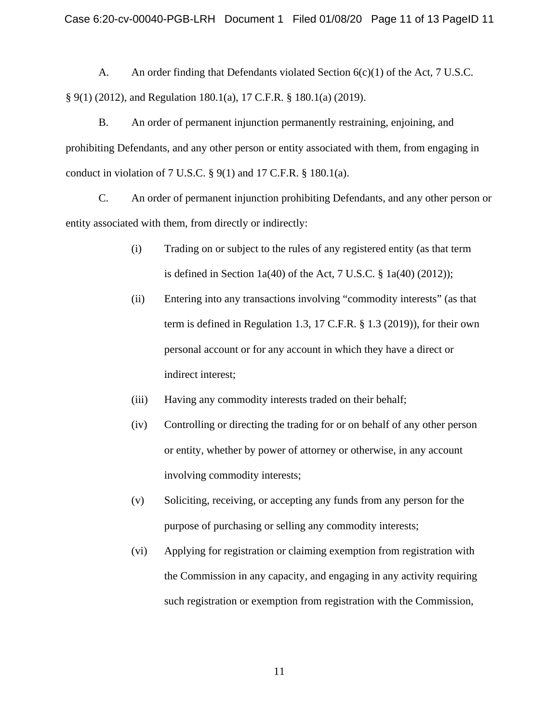A. An order finding that Defendants violated Section  $6(c)(1)$  of the Act, 7 U.S.C. § 9(1) (2012), and Regulation 180.1(a), 17 C.F.R. § 180.1(a) (2019).

B. An order of permanent injunction permanently restraining, enjoining, and prohibiting Defendants, and any other person or entity associated with them, from engaging in conduct in violation of 7 U.S.C.  $\S$  9(1) and 17 C.F.R.  $\S$  180.1(a).

C. An order of permanent injunction prohibiting Defendants, and any other person or entity associated with them, from directly or indirectly:

- (i) Trading on or subject to the rules of any registered entity (as that term is defined in Section 1a(40) of the Act,  $7 \text{ U.S.C. }$   $\frac{8}{9}$  1a(40) (2012));
- (ii) Entering into any transactions involving "commodity interests" (as that term is defined in Regulation 1.3, 17 C.F.R. § 1.3 (2019)), for their own personal account or for any account in which they have a direct or indirect interest;
- (iii) Having any commodity interests traded on their behalf;
- (iv) Controlling or directing the trading for or on behalf of any other person or entity, whether by power of attorney or otherwise, in any account involving commodity interests;
- (v) Soliciting, receiving, or accepting any funds from any person for the purpose of purchasing or selling any commodity interests;
- (vi) Applying for registration or claiming exemption from registration with the Commission in any capacity, and engaging in any activity requiring such registration or exemption from registration with the Commission,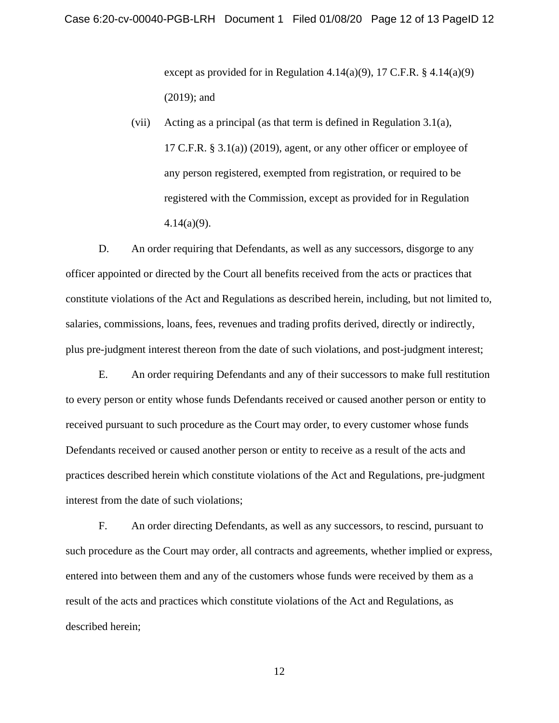except as provided for in Regulation 4.14(a)(9), 17 C.F.R.  $§$  4.14(a)(9) (2019); and

(vii) Acting as a principal (as that term is defined in Regulation 3.1(a), 17 C.F.R. § 3.1(a)) (2019), agent, or any other officer or employee of any person registered, exempted from registration, or required to be registered with the Commission, except as provided for in Regulation 4.14(a)(9).

D. An order requiring that Defendants, as well as any successors, disgorge to any officer appointed or directed by the Court all benefits received from the acts or practices that constitute violations of the Act and Regulations as described herein, including, but not limited to, salaries, commissions, loans, fees, revenues and trading profits derived, directly or indirectly, plus pre-judgment interest thereon from the date of such violations, and post-judgment interest;

E. An order requiring Defendants and any of their successors to make full restitution to every person or entity whose funds Defendants received or caused another person or entity to received pursuant to such procedure as the Court may order, to every customer whose funds Defendants received or caused another person or entity to receive as a result of the acts and practices described herein which constitute violations of the Act and Regulations, pre-judgment interest from the date of such violations;

F. An order directing Defendants, as well as any successors, to rescind, pursuant to such procedure as the Court may order, all contracts and agreements, whether implied or express, entered into between them and any of the customers whose funds were received by them as a result of the acts and practices which constitute violations of the Act and Regulations, as described herein;